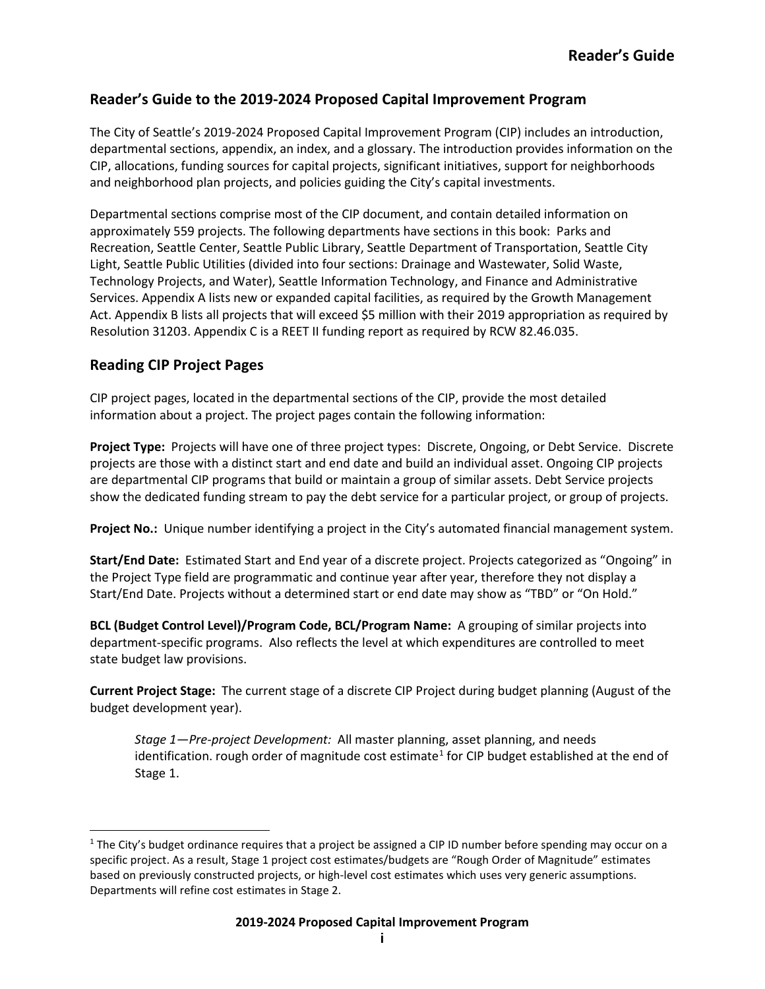## **Reader's Guide to the 2019-2024 Proposed Capital Improvement Program**

The City of Seattle's 2019-2024 Proposed Capital Improvement Program (CIP) includes an introduction, departmental sections, appendix, an index, and a glossary. The introduction provides information on the CIP, allocations, funding sources for capital projects, significant initiatives, support for neighborhoods and neighborhood plan projects, and policies guiding the City's capital investments.

Departmental sections comprise most of the CIP document, and contain detailed information on approximately 559 projects. The following departments have sections in this book: Parks and Recreation, Seattle Center, Seattle Public Library, Seattle Department of Transportation, Seattle City Light, Seattle Public Utilities (divided into four sections: Drainage and Wastewater, Solid Waste, Technology Projects, and Water), Seattle Information Technology, and Finance and Administrative Services. Appendix A lists new or expanded capital facilities, as required by the Growth Management Act. Appendix B lists all projects that will exceed \$5 million with their 2019 appropriation as required by Resolution 31203. Appendix C is a REET II funding report as required by RCW 82.46.035.

## **Reading CIP Project Pages**

CIP project pages, located in the departmental sections of the CIP, provide the most detailed information about a project. The project pages contain the following information:

**Project Type:** Projects will have one of three project types: Discrete, Ongoing, or Debt Service. Discrete projects are those with a distinct start and end date and build an individual asset. Ongoing CIP projects are departmental CIP programs that build or maintain a group of similar assets. Debt Service projects show the dedicated funding stream to pay the debt service for a particular project, or group of projects.

**Project No.:** Unique number identifying a project in the City's automated financial management system.

**Start/End Date:** Estimated Start and End year of a discrete project. Projects categorized as "Ongoing" in the Project Type field are programmatic and continue year after year, therefore they not display a Start/End Date. Projects without a determined start or end date may show as "TBD" or "On Hold."

**BCL (Budget Control Level)/Program Code, BCL/Program Name:** A grouping of similar projects into department-specific programs. Also reflects the level at which expenditures are controlled to meet state budget law provisions.

**Current Project Stage:** The current stage of a discrete CIP Project during budget planning (August of the budget development year).

*Stage 1—Pre-project Development:* All master planning, asset planning, and needs identification. rough order of magnitude cost estimate<sup>[1](#page-0-0)</sup> for CIP budget established at the end of Stage 1.

<span id="page-0-0"></span> $1$  The City's budget ordinance requires that a project be assigned a CIP ID number before spending may occur on a specific project. As a result, Stage 1 project cost estimates/budgets are "Rough Order of Magnitude" estimates based on previously constructed projects, or high-level cost estimates which uses very generic assumptions. Departments will refine cost estimates in Stage 2.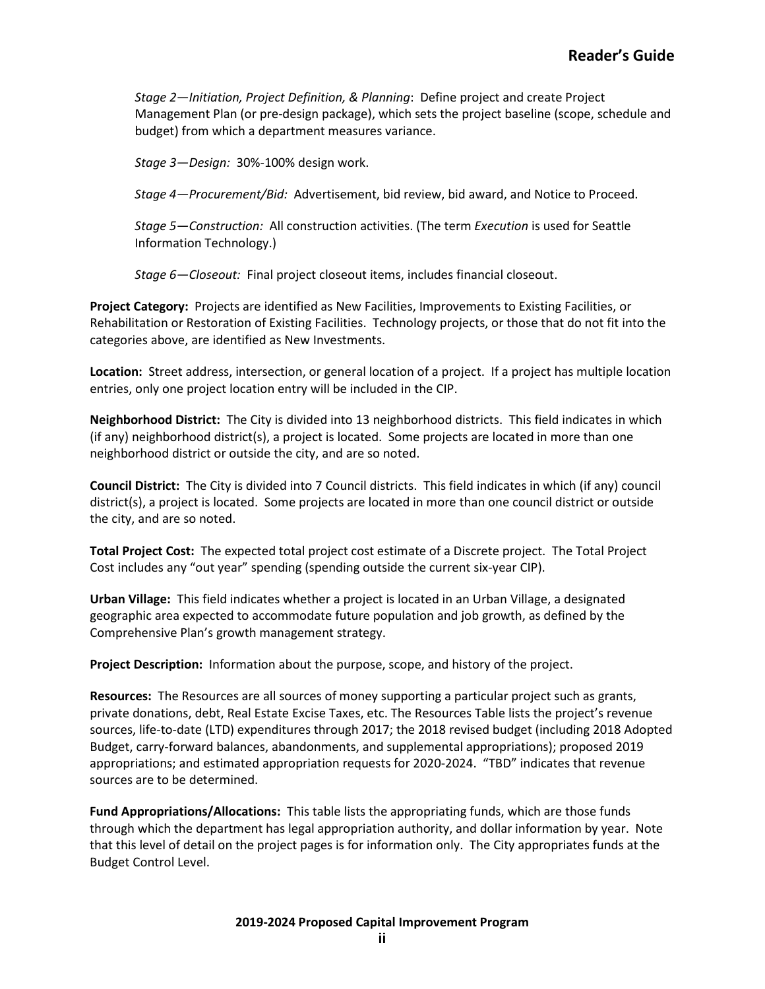*Stage 2—Initiation, Project Definition, & Planning*: Define project and create Project Management Plan (or pre-design package), which sets the project baseline (scope, schedule and budget) from which a department measures variance.

*Stage 3—Design:* 30%-100% design work.

*Stage 4—Procurement/Bid:* Advertisement, bid review, bid award, and Notice to Proceed.

*Stage 5—Construction:* All construction activities. (The term *Execution* is used for Seattle Information Technology.)

*Stage 6—Closeout:* Final project closeout items, includes financial closeout.

**Project Category:** Projects are identified as New Facilities, Improvements to Existing Facilities, or Rehabilitation or Restoration of Existing Facilities. Technology projects, or those that do not fit into the categories above, are identified as New Investments.

**Location:** Street address, intersection, or general location of a project. If a project has multiple location entries, only one project location entry will be included in the CIP.

**Neighborhood District:** The City is divided into 13 neighborhood districts. This field indicates in which (if any) neighborhood district(s), a project is located. Some projects are located in more than one neighborhood district or outside the city, and are so noted.

**Council District:** The City is divided into 7 Council districts. This field indicates in which (if any) council district(s), a project is located. Some projects are located in more than one council district or outside the city, and are so noted.

**Total Project Cost:** The expected total project cost estimate of a Discrete project. The Total Project Cost includes any "out year" spending (spending outside the current six-year CIP).

**Urban Village:** This field indicates whether a project is located in an Urban Village, a designated geographic area expected to accommodate future population and job growth, as defined by the Comprehensive Plan's growth management strategy.

**Project Description:** Information about the purpose, scope, and history of the project.

**Resources:** The Resources are all sources of money supporting a particular project such as grants, private donations, debt, Real Estate Excise Taxes, etc. The Resources Table lists the project's revenue sources, life-to-date (LTD) expenditures through 2017; the 2018 revised budget (including 2018 Adopted Budget, carry-forward balances, abandonments, and supplemental appropriations); proposed 2019 appropriations; and estimated appropriation requests for 2020-2024. "TBD" indicates that revenue sources are to be determined.

**Fund Appropriations/Allocations:** This table lists the appropriating funds, which are those funds through which the department has legal appropriation authority, and dollar information by year. Note that this level of detail on the project pages is for information only. The City appropriates funds at the Budget Control Level.

## **2019-2024 Proposed Capital Improvement Program**